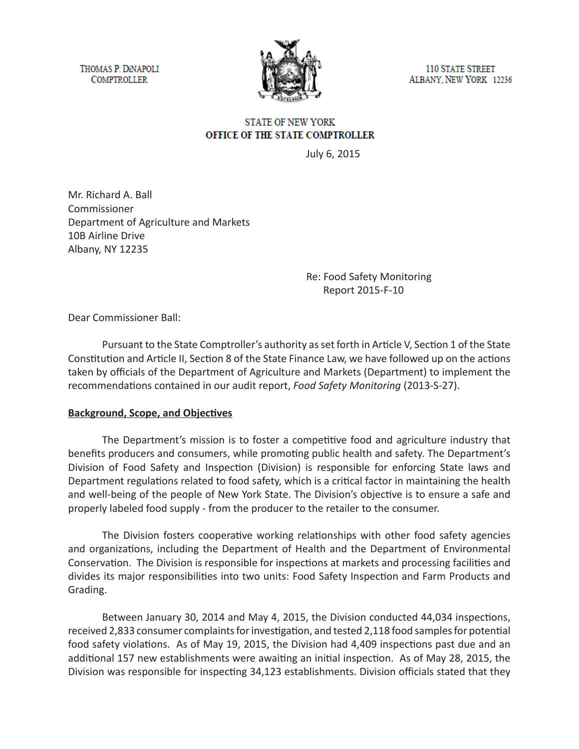THOMAS P. DINAPOLI **COMPTROLLER** 



**110 STATE STREET** ALBANY, NEW YORK 12236

# **STATE OF NEW YORK** OFFICE OF THE STATE COMPTROLLER

July 6, 2015

Mr. Richard A. Ball Commissioner Department of Agriculture and Markets 10B Airline Drive Albany, NY 12235

> Re: Food Safety Monitoring Report 2015-F-10

Dear Commissioner Ball:

Pursuant to the State Comptroller's authority as set forth in Article V, Section 1 of the State Constitution and Article II, Section 8 of the State Finance Law, we have followed up on the actions taken by officials of the Department of Agriculture and Markets (Department) to implement the recommendations contained in our audit report, *Food Safety Monitoring* (2013-S-27).

### **Background, Scope, and Objectives**

The Department's mission is to foster a competitive food and agriculture industry that benefits producers and consumers, while promoting public health and safety. The Department's Division of Food Safety and Inspection (Division) is responsible for enforcing State laws and Department regulations related to food safety, which is a critical factor in maintaining the health and well-being of the people of New York State. The Division's objective is to ensure a safe and properly labeled food supply - from the producer to the retailer to the consumer.

The Division fosters cooperative working relationships with other food safety agencies and organizations, including the Department of Health and the Department of Environmental Conservation. The Division is responsible for inspections at markets and processing facilities and divides its major responsibilities into two units: Food Safety Inspection and Farm Products and Grading.

Between January 30, 2014 and May 4, 2015, the Division conducted 44,034 inspections, received 2,833 consumer complaints for investigation, and tested 2,118 food samples for potential food safety violations. As of May 19, 2015, the Division had 4,409 inspections past due and an additional 157 new establishments were awaiting an initial inspection. As of May 28, 2015, the Division was responsible for inspecting 34,123 establishments. Division officials stated that they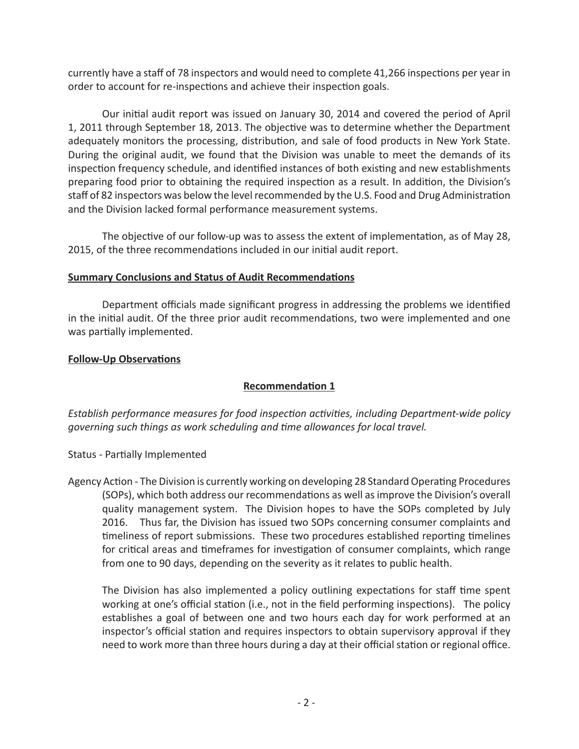currently have a staff of 78 inspectors and would need to complete 41,266 inspections per year in order to account for re-inspections and achieve their inspection goals.

Our initial audit report was issued on January 30, 2014 and covered the period of April 1, 2011 through September 18, 2013. The objective was to determine whether the Department adequately monitors the processing, distribution, and sale of food products in New York State. During the original audit, we found that the Division was unable to meet the demands of its inspection frequency schedule, and identified instances of both existing and new establishments preparing food prior to obtaining the required inspection as a result. In addition, the Division's staff of 82 inspectors was below the level recommended by the U.S. Food and Drug Administration and the Division lacked formal performance measurement systems.

The objective of our follow-up was to assess the extent of implementation, as of May 28, 2015, of the three recommendations included in our initial audit report.

### **Summary Conclusions and Status of Audit Recommendations**

Department officials made significant progress in addressing the problems we identified in the initial audit. Of the three prior audit recommendations, two were implemented and one was partially implemented.

### **Follow-Up Observations**

# **Recommendation 1**

*Establish performance measures for food inspection activities, including Department-wide policy governing such things as work scheduling and time allowances for local travel.*

Status *-* Partially Implemented

Agency Action *-* The Division is currently working on developing 28 Standard Operating Procedures (SOPs), which both address our recommendations as well as improve the Division's overall quality management system. The Division hopes to have the SOPs completed by July 2016. Thus far, the Division has issued two SOPs concerning consumer complaints and timeliness of report submissions. These two procedures established reporting timelines for critical areas and timeframes for investigation of consumer complaints, which range from one to 90 days, depending on the severity as it relates to public health.

The Division has also implemented a policy outlining expectations for staff time spent working at one's official station (i.e., not in the field performing inspections). The policy establishes a goal of between one and two hours each day for work performed at an inspector's official station and requires inspectors to obtain supervisory approval if they need to work more than three hours during a day at their official station or regional office.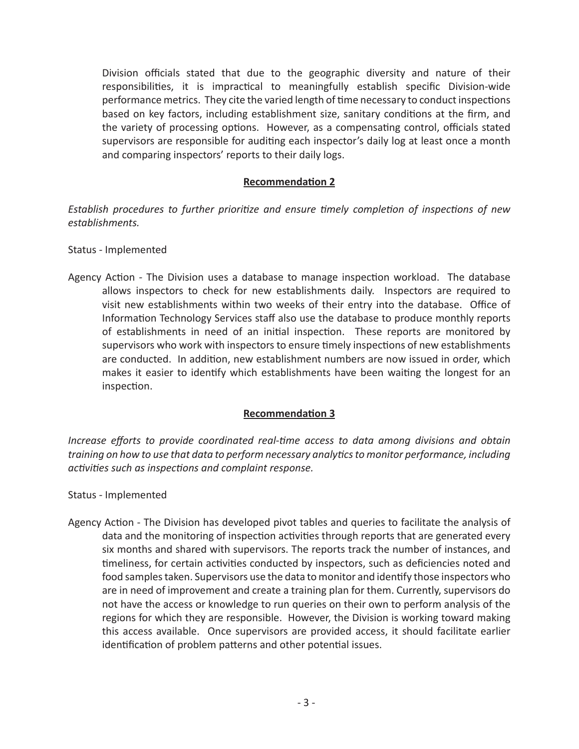Division officials stated that due to the geographic diversity and nature of their responsibilities, it is impractical to meaningfully establish specific Division-wide performance metrics. They cite the varied length of time necessary to conduct inspections based on key factors, including establishment size, sanitary conditions at the firm, and the variety of processing options. However, as a compensating control, officials stated supervisors are responsible for auditing each inspector's daily log at least once a month and comparing inspectors' reports to their daily logs.

## **Recommendation 2**

*Establish procedures to further prioritize and ensure timely completion of inspections of new establishments.*

### Status *-* Implemented

Agency Action *-* The Division uses a database to manage inspection workload. The database allows inspectors to check for new establishments daily. Inspectors are required to visit new establishments within two weeks of their entry into the database. Office of Information Technology Services staff also use the database to produce monthly reports of establishments in need of an initial inspection. These reports are monitored by supervisors who work with inspectors to ensure timely inspections of new establishments are conducted. In addition, new establishment numbers are now issued in order, which makes it easier to identify which establishments have been waiting the longest for an inspection.

### **Recommendation 3**

*Increase efforts to provide coordinated real-time access to data among divisions and obtain training on how to use that data to perform necessary analytics to monitor performance, including activities such as inspections and complaint response.*

### Status *-* Implemented

Agency Action - The Division has developed pivot tables and queries to facilitate the analysis of data and the monitoring of inspection activities through reports that are generated every six months and shared with supervisors. The reports track the number of instances, and timeliness, for certain activities conducted by inspectors, such as deficiencies noted and food samples taken. Supervisors use the data to monitor and identify those inspectors who are in need of improvement and create a training plan for them. Currently, supervisors do not have the access or knowledge to run queries on their own to perform analysis of the regions for which they are responsible. However, the Division is working toward making this access available. Once supervisors are provided access, it should facilitate earlier identification of problem patterns and other potential issues.